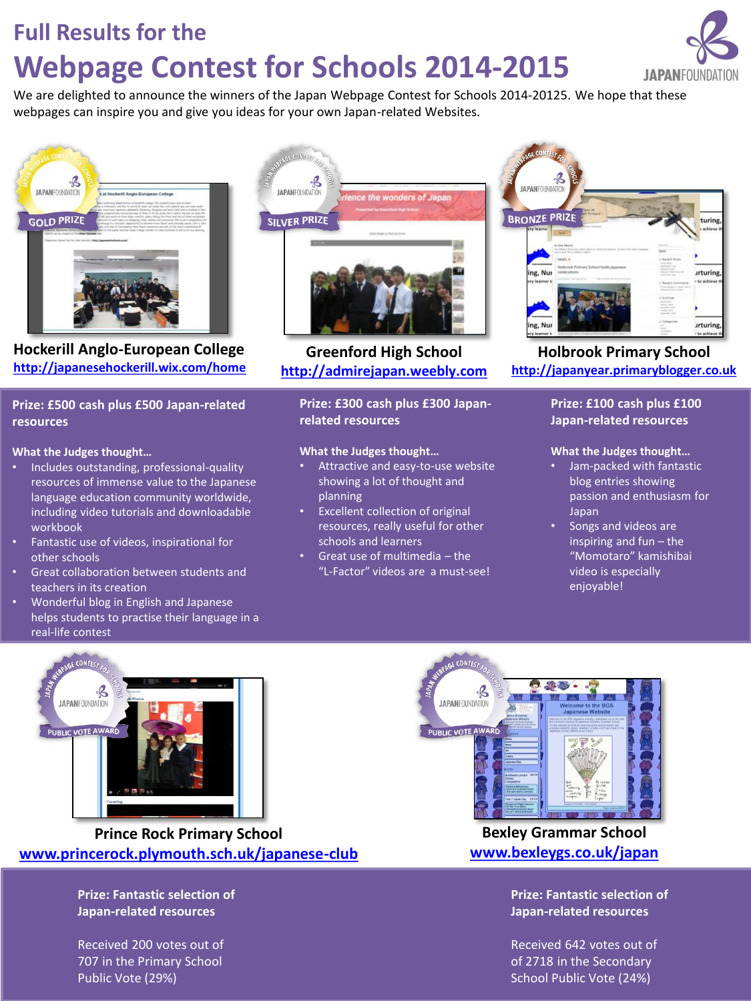### **Full Results for the**

# **Webpage Contest for Schools 2014-2015**

We are delighted to announce the winners of the Japan Webpage Contest for Schools 2014-20125. We hope that these webpages can inspire you and give you ideas for your own Japan-related Websites.



**Hockerill Anglo-European College <http://japanesehockerill.wix.com/home>**

#### **Prize: £500 cash plus £500 Japan-related resources**

#### **What the Judges thought…**

- Includes outstanding, professional-quality resources of immense value to the Japanese language education community worldwide, including video tutorials and downloadable workbook
- Fantastic use of videos, inspirational for other schools
- Great collaboration between students and teachers in its creation
- Wonderful blog in English and Japanese helps students to practise their language in a real-life contest



**Greenford High School [http://admirejapan.weebly.com](http://admirejapan.weebly.com/)**

#### **Prize: £300 cash plus £300 Japanrelated resources**

#### **What the Judges thought…**

- Attractive and easy-to-use website showing a lot of thought and planning
- Excellent collection of original resources, really useful for other schools and learners
- Great use of multimedia the "L-Factor" videos are a must-see!



**Holbrook Primary School [http://japanyear.primaryblogger.co.uk](http://japanyear.primaryblogger.co.uk/)**

#### **Prize: £100 cash plus £100 Japan-related resources**

#### **What the Judges thought…**

- Jam-packed with fantastic blog entries showing passion and enthusiasm for Japan
- Songs and videos are inspiring and fun – the "Momotaro" kamishibai video is especially enjoyable!



**Prince Rock Primary School [www.princerock.plymouth.sch.uk/japanese-club](http://www.princerock.plymouth.sch.uk/japanese-club)**

> **Prize: Fantastic selection of Japan-related resources**

Received 200 votes out of 707 in the Primary School Public Vote (29%)



**Bexley Grammar School [www.bexleygs.co.uk/japan](http://www.bexleygs.co.uk/japan)**

> **Prize: Fantastic selection of Japan-related resources**

Received 642 votes out of of 2718 in the Secondary School Public Vote (24%)